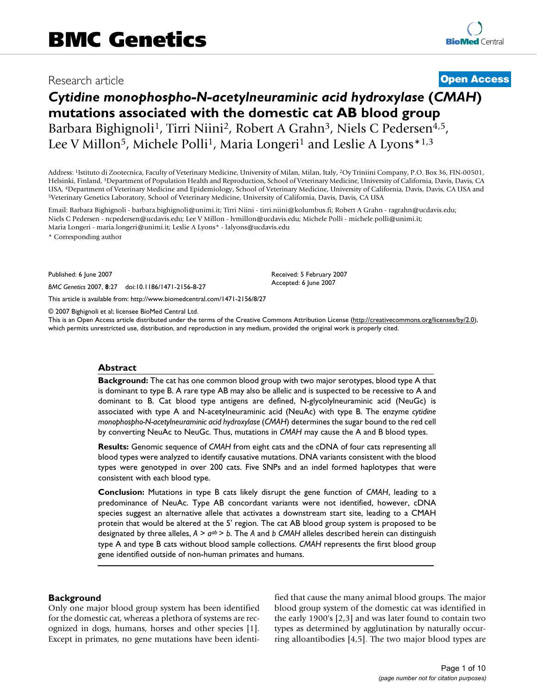# Research article **[Open Access](http://www.biomedcentral.com/info/about/charter/)**

# *Cytidine monophospho-N-acetylneuraminic acid hydroxylase* **(***CMAH***) mutations associated with the domestic cat AB blood group** Barbara Bighignoli<sup>1</sup>, Tirri Niini<sup>2</sup>, Robert A Grahn<sup>3</sup>, Niels C Pedersen<sup>4,5</sup>, Lee V Millon<sup>5</sup>, Michele Polli<sup>1</sup>, Maria Longeri<sup>1</sup> and Leslie A Lyons<sup>\*1,3</sup>

Address: 1Istituto di Zootecnica, Faculty of Veterinary Medicine, University of Milan, Milan, Italy, 2Oy Triniini Company, P.O. Box 36, FIN-00501, Helsinki, Finland, 3Department of Population Health and Reproduction, School of Veterinary Medicine, University of California, Davis, Davis, CA USA, <sup>4</sup>Department of Veterinary Medicine and Epidemiology, School of Veterinary Medicine, University of California, Davis, Davis, CA USA and 5Veterinary Genetics Laboratory, School of Veterinary Medicine, University of Ca

Email: Barbara Bighignoli - barbara.bighignoli@unimi.it; Tirri Niini - tirri.niini@kolumbus.fi; Robert A Grahn - ragrahn@ucdavis.edu; Niels C Pedersen - ncpedersen@ucdavis.edu; Lee V Millon - lvmillon@ucdavis.edu; Michele Polli - michele.polli@unimi.it; Maria Longeri - maria.longeri@unimi.it; Leslie A Lyons\* - lalyons@ucdavis.edu

\* Corresponding author

Published: 6 June 2007

*BMC Genetics* 2007, **8**:27 doi:10.1186/1471-2156-8-27

[This article is available from: http://www.biomedcentral.com/1471-2156/8/27](http://www.biomedcentral.com/1471-2156/8/27)

© 2007 Bighignoli et al; licensee BioMed Central Ltd.

This is an Open Access article distributed under the terms of the Creative Commons Attribution License [\(http://creativecommons.org/licenses/by/2.0\)](http://creativecommons.org/licenses/by/2.0), which permits unrestricted use, distribution, and reproduction in any medium, provided the original work is properly cited.

Received: 5 February 2007 Accepted: 6 June 2007

#### **Abstract**

**Background:** The cat has one common blood group with two major serotypes, blood type A that is dominant to type B. A rare type AB may also be allelic and is suspected to be recessive to A and dominant to B. Cat blood type antigens are defined, N-glycolylneuraminic acid (NeuGc) is associated with type A and N-acetylneuraminic acid (NeuAc) with type B. The enzyme *cytidine monophospho-N-acetylneuraminic acid hydroxylase* (*CMAH*) determines the sugar bound to the red cell by converting NeuAc to NeuGc. Thus, mutations in *CMAH* may cause the A and B blood types.

**Results:** Genomic sequence of *CMAH* from eight cats and the cDNA of four cats representing all blood types were analyzed to identify causative mutations. DNA variants consistent with the blood types were genotyped in over 200 cats. Five SNPs and an indel formed haplotypes that were consistent with each blood type.

**Conclusion:** Mutations in type B cats likely disrupt the gene function of *CMAH*, leading to a predominance of NeuAc. Type AB concordant variants were not identified, however, cDNA species suggest an alternative allele that activates a downstream start site, leading to a CMAH protein that would be altered at the 5' region. The cat AB blood group system is proposed to be designated by three alleles, *A* > *aab* > *b*. The *A* and *b CMAH* alleles described herein can distinguish type A and type B cats without blood sample collections. *CMAH* represents the first blood group gene identified outside of non-human primates and humans.

#### **Background**

Only one major blood group system has been identified for the domestic cat, whereas a plethora of systems are recognized in dogs, humans, horses and other species [1]. Except in primates, no gene mutations have been identified that cause the many animal blood groups. The major blood group system of the domestic cat was identified in the early 1900's [2,3] and was later found to contain two types as determined by agglutination by naturally occurring alloantibodies [4,5]. The two major blood types are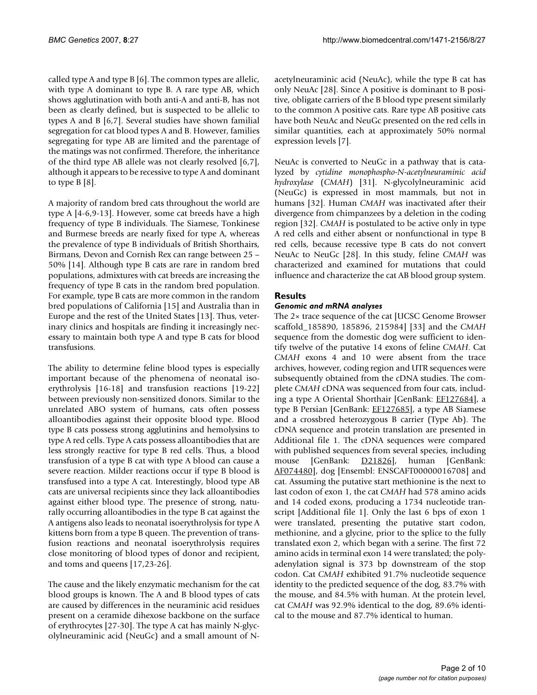called type A and type B [6]. The common types are allelic, with type A dominant to type B. A rare type AB, which shows agglutination with both anti-A and anti-B, has not been as clearly defined, but is suspected to be allelic to types A and B [6,7]. Several studies have shown familial segregation for cat blood types A and B. However, families segregating for type AB are limited and the parentage of the matings was not confirmed. Therefore, the inheritance of the third type AB allele was not clearly resolved [6,7], although it appears to be recessive to type A and dominant to type B [8].

A majority of random bred cats throughout the world are type A [4-6,9-13]. However, some cat breeds have a high frequency of type B individuals. The Siamese, Tonkinese and Burmese breeds are nearly fixed for type A, whereas the prevalence of type B individuals of British Shorthairs, Birmans, Devon and Cornish Rex can range between 25 – 50% [14]. Although type B cats are rare in random bred populations, admixtures with cat breeds are increasing the frequency of type B cats in the random bred population. For example, type B cats are more common in the random bred populations of California [15] and Australia than in Europe and the rest of the United States [13]. Thus, veterinary clinics and hospitals are finding it increasingly necessary to maintain both type A and type B cats for blood transfusions.

The ability to determine feline blood types is especially important because of the phenomena of neonatal isoerythrolysis [16-18] and transfusion reactions [19-22] between previously non-sensitized donors. Similar to the unrelated ABO system of humans, cats often possess alloantibodies against their opposite blood type. Blood type B cats possess strong agglutinins and hemolysins to type A red cells. Type A cats possess alloantibodies that are less strongly reactive for type B red cells. Thus, a blood transfusion of a type B cat with type A blood can cause a severe reaction. Milder reactions occur if type B blood is transfused into a type A cat. Interestingly, blood type AB cats are universal recipients since they lack alloantibodies against either blood type. The presence of strong, naturally occurring alloantibodies in the type B cat against the A antigens also leads to neonatal isoerythrolysis for type A kittens born from a type B queen. The prevention of transfusion reactions and neonatal isoerythrolysis requires close monitoring of blood types of donor and recipient, and toms and queens [17,23-26].

The cause and the likely enzymatic mechanism for the cat blood groups is known. The A and B blood types of cats are caused by differences in the neuraminic acid residues present on a ceramide dihexose backbone on the surface of erythrocytes [27-30]. The type A cat has mainly N-glycolylneuraminic acid (NeuGc) and a small amount of N-

acetylneuraminic acid (NeuAc), while the type B cat has only NeuAc [28]. Since A positive is dominant to B positive, obligate carriers of the B blood type present similarly to the common A positive cats. Rare type AB positive cats have both NeuAc and NeuGc presented on the red cells in similar quantities, each at approximately 50% normal expression levels [7].

NeuAc is converted to NeuGc in a pathway that is catalyzed by *cytidine monophospho-N-acetylneuraminic acid hydroxylase* (*CMAH*) [31]. N-glycolylneuraminic acid (NeuGc) is expressed in most mammals, but not in humans [32]. Human *CMAH* was inactivated after their divergence from chimpanzees by a deletion in the coding region [32]. *CMAH* is postulated to be active only in type A red cells and either absent or nonfunctional in type B red cells, because recessive type B cats do not convert NeuAc to NeuGc [28]. In this study, feline *CMAH* was characterized and examined for mutations that could influence and characterize the cat AB blood group system.

# **Results**

# *Genomic and mRNA analyses*

The 2× trace sequence of the cat [UCSC Genome Browser scaffold\_185890, 185896, 215984] [33] and the *CMAH* sequence from the domestic dog were sufficient to identify twelve of the putative 14 exons of feline *CMAH*. Cat *CMAH* exons 4 and 10 were absent from the trace archives, however, coding region and UTR sequences were subsequently obtained from the cDNA studies. The complete *CMAH* cDNA was sequenced from four cats, including a type A Oriental Shorthair [GenBank: [EF127684](http://www.ncbi.nih.gov/entrez/query.fcgi?db=Nucleotide&cmd=search&term=EF127684)], a type B Persian [GenBank: [EF127685](http://www.ncbi.nih.gov/entrez/query.fcgi?db=Nucleotide&cmd=search&term=EF127685)], a type AB Siamese and a crossbred heterozygous B carrier (Type Ab). The cDNA sequence and protein translation are presented in Additional file 1. The cDNA sequences were compared with published sequences from several species, including mouse [GenBank: **D21826**], human [GenBank: [AF074480\]](http://www.ncbi.nih.gov/entrez/query.fcgi?db=Nucleotide&cmd=search&term=AF074480), dog [Ensembl: ENSCAFT00000016708] and cat. Assuming the putative start methionine is the next to last codon of exon 1, the cat *CMAH* had 578 amino acids and 14 coded exons, producing a 1734 nucleotide transcript [Additional file 1]. Only the last 6 bps of exon 1 were translated, presenting the putative start codon, methionine, and a glycine, prior to the splice to the fully translated exon 2, which began with a serine. The first 72 amino acids in terminal exon 14 were translated; the polyadenylation signal is 373 bp downstream of the stop codon. Cat *CMAH* exhibited 91.7% nucleotide sequence identity to the predicted sequence of the dog, 83.7% with the mouse, and 84.5% with human. At the protein level, cat *CMAH* was 92.9% identical to the dog, 89.6% identical to the mouse and 87.7% identical to human.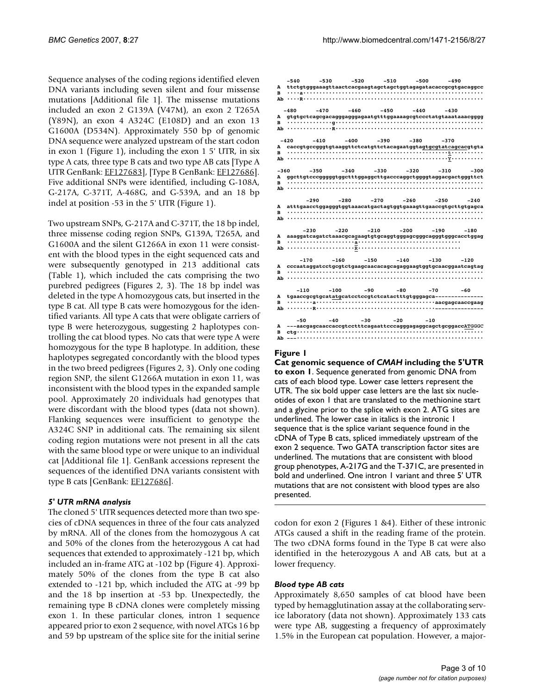Sequence analyses of the coding regions identified eleven DNA variants including seven silent and four missense mutations [Additional file 1]. The missense mutations included an exon 2 G139A (V47M), an exon 2 T265A (Y89N), an exon 4 A324C (E108D) and an exon 13 G1600A (D534N). Approximately 550 bp of genomic DNA sequence were analyzed upstream of the start codon in exon 1 (Figure 1), including the exon 1 5' UTR, in six type A cats, three type B cats and two type AB cats [Type A UTR GenBank: [EF127683](http://www.ncbi.nih.gov/entrez/query.fcgi?db=Nucleotide&cmd=search&term=EF127683)], [Type B GenBank: [EF127686](http://www.ncbi.nih.gov/entrez/query.fcgi?db=Nucleotide&cmd=search&term=EF127686)]. Five additional SNPs were identified, including G-108A, G-217A, C-371T, A-468G, and G-539A, and an 18 bp indel at position -53 in the 5' UTR (Figure 1).

Two upstream SNPs, G-217A and C-371T, the 18 bp indel, three missense coding region SNPs, G139A, T265A, and G1600A and the silent G1266A in exon 11 were consistent with the blood types in the eight sequenced cats and were subsequently genotyped in 213 additional cats (Table 1), which included the cats comprising the two purebred pedigrees (Figures 2, 3). The 18 bp indel was deleted in the type A homozygous cats, but inserted in the type B cat. All type B cats were homozygous for the identified variants. All type A cats that were obligate carriers of type B were heterozygous, suggesting 2 haplotypes controlling the cat blood types. No cats that were type A were homozygous for the type B haplotype. In addition, these haplotypes segregated concordantly with the blood types in the two breed pedigrees (Figures 2, 3). Only one coding region SNP, the silent G1266A mutation in exon 11, was inconsistent with the blood types in the expanded sample pool. Approximately 20 individuals had genotypes that were discordant with the blood types (data not shown). Flanking sequences were insufficient to genotype the A324C SNP in additional cats. The remaining six silent coding region mutations were not present in all the cats with the same blood type or were unique to an individual cat [Additional file 1]. GenBank accessions represent the sequences of the identified DNA variants consistent with type B cats [GenBank: [EF127686](http://www.ncbi.nih.gov/entrez/query.fcgi?db=Nucleotide&cmd=search&term=EF127686)].

#### *5' UTR mRNA analysis*

The cloned 5' UTR sequences detected more than two species of cDNA sequences in three of the four cats analyzed by mRNA. All of the clones from the homozygous A cat and 50% of the clones from the heterozygous A cat had sequences that extended to approximately -121 bp, which included an in-frame ATG at -102 bp (Figure 4). Approximately 50% of the clones from the type B cat also extended to -121 bp, which included the ATG at -99 bp and the 18 bp insertion at -53 bp. Unexpectedly, the remaining type B cDNA clones were completely missing exon 1. In these particular clones, intron 1 sequence appeared prior to exon 2 sequence, with novel ATGs 16 bp and 59 bp upstream of the splice site for the initial serine

| A<br>R           | $-540$           | -530   | -520   | $-510$ | -500                                                        | $-490$<br>ttctqtqqqaaaqttaactcacqaaqtaqctaqctqqtaqaqatacaccqcqtqacaqqcc           |
|------------------|------------------|--------|--------|--------|-------------------------------------------------------------|-----------------------------------------------------------------------------------|
| в                | -480             | $-470$ | $-460$ | $-450$ | -440                                                        | $-430$                                                                            |
| A<br>R           | $-420$<br>$Ab$ . | $-410$ | $-400$ | $-390$ | $-380$                                                      | $-370$<br>caccgtgccgggtgtaaggttctcatgttctacagaatggtagtgcgtatcagcacgtgta           |
| $-360$<br>A<br>R | $-350$           | $-340$ | $-330$ |        | $-320$                                                      | $-310$<br>$-300$<br>ggcttgtcccgggggtggctttggaggcttgacccaggctggggtaggacgactgggttct |
| A<br>R<br>Ab     | -290             | -280   | $-270$ | $-260$ | $-250$                                                      | -240<br>atttgaacctggagggtggtaaacatgactagtggtgaaagttgaaccgtgcttgtgagca             |
| A<br>в           | $-230$           | $-220$ | $-210$ | $-200$ | $-190$                                                      | $-180$<br>aaaggatcagatctaaacgcagaagtgtgcaggtgggagcgggcagggtgggcacctggag           |
| A<br>R<br>Ab     | $-170$           | $-160$ | $-150$ | $-140$ | $-130$                                                      | $-120$<br>cccaataggatcctgcgtctgaagcaacacagcagaggaagtggtgcaacggaatcagtag           |
| A<br>R           | $-110$           | $-100$ | -90    | $-80$  | -70<br>tgaaccgcgtgcatatgcatcctccgtctcatactttgtgggagca------ | -60                                                                               |
| A<br>в<br>Ab     | $-50$            | $-40$  | $-30$  | $-20$  | $-10$                                                       | ---aacgagcaaccaccgtcctttcagaattcccagggagaggcagctgcggaccATGGGC                     |

#### Figure 1

**Cat genomic sequence of** *CMAH* **including the 5'UTR to exon 1**. Sequence generated from genomic DNA from cats of each blood type. Lower case letters represent the UTR. The six bold upper case letters are the last six nucleotides of exon 1 that are translated to the methionine start and a glycine prior to the splice with exon 2. ATG sites are underlined. The lower case in italics is the intronic 1 sequence that is the splice variant sequence found in the cDNA of Type B cats, spliced immediately upstream of the exon 2 sequence. Two GATA transcription factor sites are underlined. The mutations that are consistent with blood group phenotypes, A-217G and the T-371C, are presented in bold and underlined. One intron 1 variant and three 5' UTR mutations that are not consistent with blood types are also presented.

codon for exon 2 (Figures 1 &4). Either of these intronic ATGs caused a shift in the reading frame of the protein. The two cDNA forms found in the Type B cat were also identified in the heterozygous A and AB cats, but at a lower frequency.

#### *Blood type AB cats*

Approximately 8,650 samples of cat blood have been typed by hemagglutination assay at the collaborating service laboratory (data not shown). Approximately 133 cats were type AB, suggesting a frequency of approximately 1.5% in the European cat population. However, a major-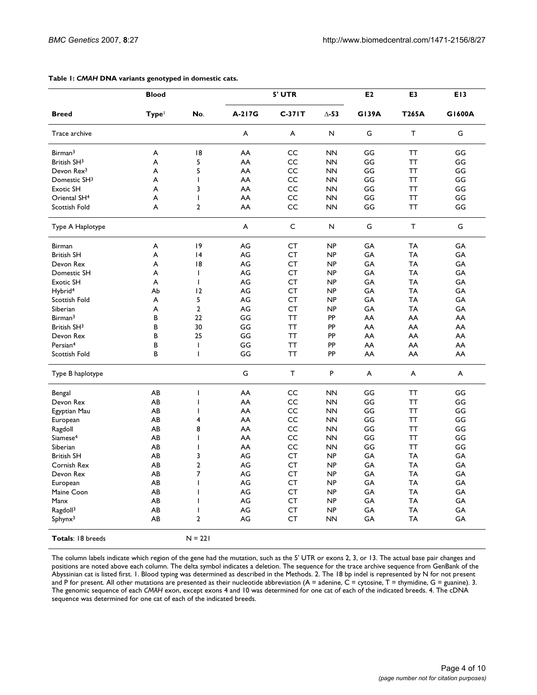|                          | <b>Blood</b>      |                |        | 5' UTR    |              | E <sub>2</sub> | E <sub>3</sub> | E <sub>13</sub> |
|--------------------------|-------------------|----------------|--------|-----------|--------------|----------------|----------------|-----------------|
| <b>Breed</b>             | Type <sup>1</sup> | No.            | A-217G | $C-371T$  | $\Delta$ -53 | <b>G139A</b>   | <b>T265A</b>   | G1600A          |
| Trace archive            |                   |                | A      | A         | N            | G              | T              | G               |
| Birman <sup>3</sup>      | A                 | 18             | AA     | CC        | <b>NN</b>    | GG             | TT             | GG              |
| British SH <sup>3</sup>  | A                 | 5              | AA     | CC        | <b>NN</b>    | GG             | <b>TT</b>      | GG              |
| Devon Rex <sup>3</sup>   | A                 | 5              | AA     | CC        | <b>NN</b>    | GG             | <b>TT</b>      | GG              |
| Domestic SH <sup>3</sup> | A                 | T              | AA     | CC        | <b>NN</b>    | GG             | <b>TT</b>      | GG              |
| <b>Exotic SH</b>         | A                 | 3              | AA     | CC        | <b>NN</b>    | GG             | <b>TT</b>      | GG              |
| Oriental SH <sup>4</sup> | A                 | $\overline{1}$ | AA     | CC        | <b>NN</b>    | GG             | <b>TT</b>      | GG              |
| Scottish Fold            | A                 | $\overline{2}$ | AA     | CC        | <b>NN</b>    | GG             | <b>TT</b>      | GG              |
| Type A Haplotype         |                   |                | A      | C         | N            | G              | T              | G               |
| Birman                   | A                 | 9              | AG     | CT        | <b>NP</b>    | GA             | TA             | GA              |
| <b>British SH</b>        | A                 | 4              | AG     | CT        | <b>NP</b>    | GA             | TA             | GA              |
| Devon Rex                | A                 | 18             | AG     | <b>CT</b> | <b>NP</b>    | GA             | TA             | GA              |
| Domestic SH              | A                 | $\mathbf{I}$   | AG     | CT        | <b>NP</b>    | GA             | TA             | GA              |
| <b>Exotic SH</b>         | A                 | $\mathbf{I}$   | AG     | CT        | NP           | GA             | <b>TA</b>      | GA              |
| Hybrid <sup>4</sup>      | Аb                | 12             | AG     | <b>CT</b> | <b>NP</b>    | GA             | <b>TA</b>      | GA              |
| Scottish Fold            | A                 | 5              | AG     | CT        | <b>NP</b>    | GA             | <b>TA</b>      | GA              |
| Siberian                 | A                 | $\overline{2}$ | AG     | CT        | <b>NP</b>    | GA             | <b>TA</b>      | GA              |
| Birman <sup>3</sup>      | B                 | 22             | GG     | <b>TT</b> | PP           | AA             | AA             | AA              |
| British SH <sup>3</sup>  | В                 | 30             | GG     | ΤT        | PP           | AA             | AA             | AA              |
| Devon Rex                | B                 | 25             | GG     | TT        | PP           | AA             | AA             | AA              |
| Persian <sup>4</sup>     | В                 | T              | GG     | <b>TT</b> | PP           | AA             | AA             | AA              |
| Scottish Fold            | B                 | $\overline{1}$ | GG     | <b>TT</b> | PP           | AA             | AA             | AA              |
| Type B haplotype         |                   |                | G      | T         | P            | A              | A              | A               |
| Bengal                   | AB                | $\overline{1}$ | AA     | CC        | <b>NN</b>    | GG             | TΤ             | GG              |
| Devon Rex                | AB                | I              | AA     | CC        | <b>NN</b>    | GG             | TT             | GG              |
| Egyptian Mau             | AB                | I              | AA     | CC        | <b>NN</b>    | GG             | ТT             | GG              |
| European                 | AB                | 4              | AA     | CC        | <b>NN</b>    | GG             | TT             | GG              |
| Ragdoll                  | AB                | 8              | AA     | CC        | <b>NN</b>    | GG             | TT             | GG              |
| Siamese <sup>4</sup>     | AB                | T              | AA     | CC        | <b>NN</b>    | GG             | ТT             | GG              |
| Siberian                 | AB                | $\overline{1}$ | AA     | CC        | <b>NN</b>    | GG             | <b>TT</b>      | GG              |
| <b>British SH</b>        | AB                | 3              | AG     | CT        | <b>NP</b>    | GA             | <b>TA</b>      | GA              |
| Cornish Rex              | AB                | $\overline{a}$ | AG     | CT        | NP           | GA             | <b>TA</b>      | GA              |
| Devon Rex                | AB                | 7              | AG     | CT        | <b>NP</b>    | GA             | <b>TA</b>      | GA              |
| European                 | AB                | $\mathsf{I}$   | AG     | CT        | <b>NP</b>    | GA             | <b>TA</b>      | GA              |
| Maine Coon               | AB                | T              | AG     | CT        | <b>NP</b>    | GA             | <b>TA</b>      | GA              |
| Manx                     | AB                | I              | AG     | CT        | <b>NP</b>    | GA             | TA             | GA              |
| Ragdoll <sup>3</sup>     | AB                | T              | AG     | СT        | <b>NP</b>    | GA             | TA             | GA              |
| $S$ phyn $x^3$           | AB                | $\overline{2}$ | AG     | CT        | <b>NN</b>    | GA             | TA             | GA              |
| <b>Totals: 18 breeds</b> |                   | $N = 221$      |        |           |              |                |                |                 |

#### **Table 1:** *CMAH* **DNA variants genotyped in domestic cats.**

The column labels indicate which region of the gene had the mutation, such as the 5' UTR or exons 2, 3, or 13. The actual base pair changes and positions are noted above each column. The delta symbol indicates a deletion. The sequence for the trace archive sequence from GenBank of the Abyssinian cat is listed first. 1. Blood typing was determined as described in the Methods. 2. The 18 bp indel is represented by N for not present and P for present. All other mutations are presented as their nucleotide abbreviation  $(A = \text{adenine}, C = \text{cytosine}, T = \text{thymidine}, G = \text{guanine})$ . 3. The genomic sequence of each *CMAH* exon, except exons 4 and 10 was determined for one cat of each of the indicated breeds. 4. The cDNA sequence was determined for one cat of each of the indicated breeds.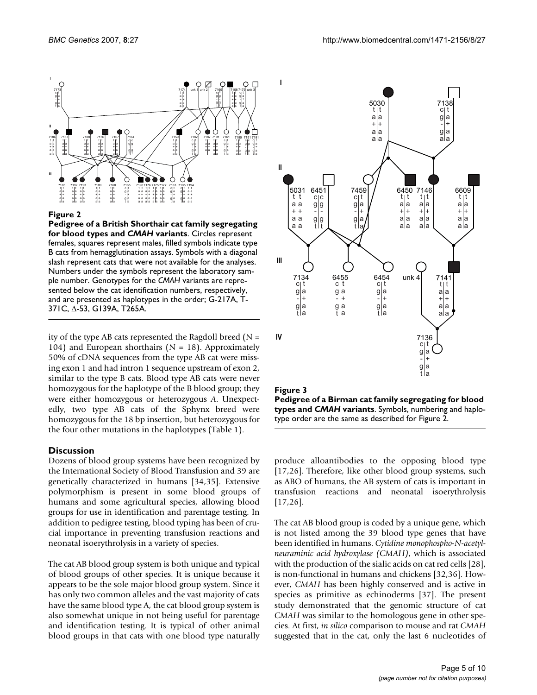

#### **Figure 2**

**Pedigree of a British Shorthair cat family segregating for blood types and** *CMAH* **variants**. Circles represent females, squares represent males, filled symbols indicate type B cats from hemagglutination assays. Symbols with a diagonal slash represent cats that were not available for the analyses. Numbers under the symbols represent the laboratory sample number. Genotypes for the *CMAH* variants are represented below the cat identification numbers, respectively, and are presented as haplotypes in the order; G-217A, T-371C, ∆-53, G139A, T265A.

ity of the type AB cats represented the Ragdoll breed ( $N =$ 104) and European shorthairs ( $N = 18$ ). Approximately 50% of cDNA sequences from the type AB cat were missing exon 1 and had intron 1 sequence upstream of exon 2, similar to the type B cats. Blood type AB cats were never homozygous for the haplotype of the B blood group; they were either homozygous or heterozygous *A*. Unexpectedly, two type AB cats of the Sphynx breed were homozygous for the 18 bp insertion, but heterozygous for the four other mutations in the haplotypes (Table 1).

#### **Discussion**

Dozens of blood group systems have been recognized by the International Society of Blood Transfusion and 39 are genetically characterized in humans [34,35]. Extensive polymorphism is present in some blood groups of humans and some agricultural species, allowing blood groups for use in identification and parentage testing. In addition to pedigree testing, blood typing has been of crucial importance in preventing transfusion reactions and neonatal isoerythrolysis in a variety of species.

The cat AB blood group system is both unique and typical of blood groups of other species. It is unique because it appears to be the sole major blood group system. Since it has only two common alleles and the vast majority of cats have the same blood type A, the cat blood group system is also somewhat unique in not being useful for parentage and identification testing. It is typical of other animal blood groups in that cats with one blood type naturally





produce alloantibodies to the opposing blood type [17,26]. Therefore, like other blood group systems, such as ABO of humans, the AB system of cats is important in transfusion reactions and neonatal isoerythrolysis [17,26].

The cat AB blood group is coded by a unique gene, which is not listed among the 39 blood type genes that have been identified in humans. *Cytidine monophospho-N-acetylneuraminic acid hydroxylase (CMAH)*, which is associated with the production of the sialic acids on cat red cells [28], is non-functional in humans and chickens [32,36]. However, *CMAH* has been highly conserved and is active in species as primitive as echinoderms [37]. The present study demonstrated that the genomic structure of cat *CMAH* was similar to the homologous gene in other species. At first, *in silico* comparison to mouse and rat *CMAH* suggested that in the cat, only the last 6 nucleotides of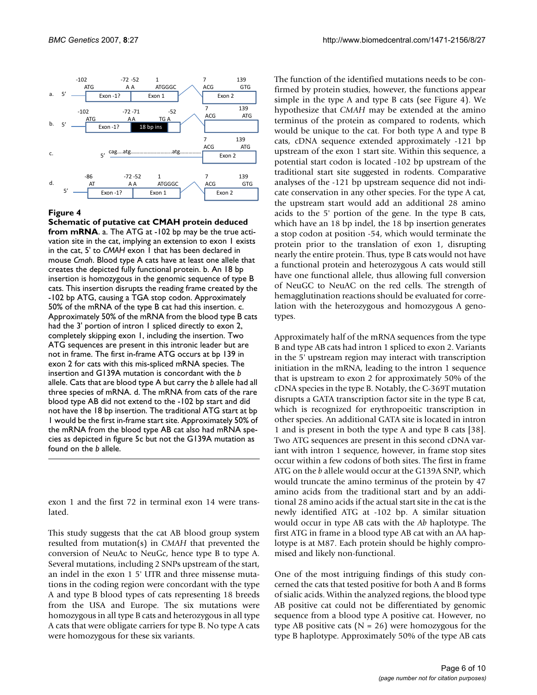

#### **Figure 4**

**Schematic of putative cat CMAH protein deduced from mRNA**. a. The ATG at -102 bp may be the true activation site in the cat, implying an extension to exon 1 exists in the cat, 5' to *CMAH* exon 1 that has been declared in mouse *Cmah*. Blood type A cats have at least one allele that creates the depicted fully functional protein. b. An 18 bp insertion is homozygous in the genomic sequence of type B cats. This insertion disrupts the reading frame created by the -102 bp ATG, causing a TGA stop codon. Approximately 50% of the mRNA of the type B cat had this insertion. c. Approximately 50% of the mRNA from the blood type B cats had the 3' portion of intron 1 spliced directly to exon 2, completely skipping exon 1, including the insertion. Two ATG sequences are present in this intronic leader but are not in frame. The first in-frame ATG occurs at bp 139 in exon 2 for cats with this mis-spliced mRNA species. The insertion and G139A mutation is concordant with the *b*  allele. Cats that are blood type A but carry the *b* allele had all three species of mRNA. d. The mRNA from cats of the rare blood type AB did not extend to the -102 bp start and did not have the 18 bp insertion. The traditional ATG start at bp 1 would be the first in-frame start site. Approximately 50% of the mRNA from the blood type AB cat also had mRNA species as depicted in figure 5c but not the G139A mutation as found on the *b* allele.

exon 1 and the first 72 in terminal exon 14 were translated.

This study suggests that the cat AB blood group system resulted from mutation(s) in *CMAH* that prevented the conversion of NeuAc to NeuGc, hence type B to type A. Several mutations, including 2 SNPs upstream of the start, an indel in the exon 1 5' UTR and three missense mutations in the coding region were concordant with the type A and type B blood types of cats representing 18 breeds from the USA and Europe. The six mutations were homozygous in all type B cats and heterozygous in all type A cats that were obligate carriers for type B. No type A cats were homozygous for these six variants.

The function of the identified mutations needs to be confirmed by protein studies, however, the functions appear simple in the type A and type B cats (see Figure 4). We hypothesize that *CMAH* may be extended at the amino terminus of the protein as compared to rodents, which would be unique to the cat. For both type A and type B cats, cDNA sequence extended approximately -121 bp upstream of the exon 1 start site. Within this sequence, a potential start codon is located -102 bp upstream of the traditional start site suggested in rodents. Comparative analyses of the -121 bp upstream sequence did not indicate conservation in any other species. For the type A cat, the upstream start would add an additional 28 amino acids to the 5' portion of the gene. In the type B cats, which have an 18 bp indel, the 18 bp insertion generates a stop codon at position -54, which would terminate the protein prior to the translation of exon 1, disrupting nearly the entire protein. Thus, type B cats would not have a functional protein and heterozygous A cats would still have one functional allele, thus allowing full conversion of NeuGC to NeuAC on the red cells. The strength of hemagglutination reactions should be evaluated for correlation with the heterozygous and homozygous A genotypes.

Approximately half of the mRNA sequences from the type B and type AB cats had intron 1 spliced to exon 2. Variants in the 5' upstream region may interact with transcription initiation in the mRNA, leading to the intron 1 sequence that is upstream to exon 2 for approximately 50% of the cDNA species in the type B. Notably, the C-369T mutation disrupts a GATA transcription factor site in the type B cat, which is recognized for erythropoeitic transcription in other species. An additional GATA site is located in intron 1 and is present in both the type A and type B cats [38]. Two ATG sequences are present in this second cDNA variant with intron 1 sequence, however, in frame stop sites occur within a few codons of both sites. The first in frame ATG on the *b* allele would occur at the G139A SNP, which would truncate the amino terminus of the protein by 47 amino acids from the traditional start and by an additional 28 amino acids if the actual start site in the cat is the newly identified ATG at -102 bp. A similar situation would occur in type AB cats with the *Ab* haplotype. The first ATG in frame in a blood type AB cat with an AA haplotype is at M87. Each protein should be highly compromised and likely non-functional.

One of the most intriguing findings of this study concerned the cats that tested positive for both A and B forms of sialic acids. Within the analyzed regions, the blood type AB positive cat could not be differentiated by genomic sequence from a blood type A positive cat. However, no type AB positive cats ( $N = 26$ ) were homozygous for the type B haplotype. Approximately 50% of the type AB cats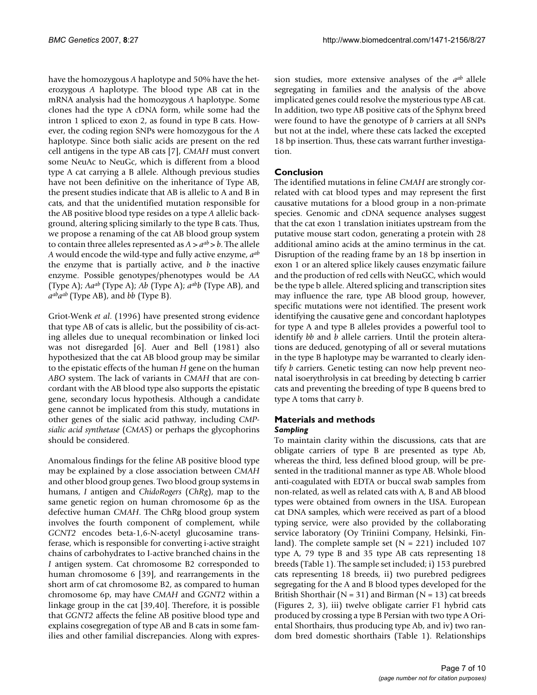have the homozygous *A* haplotype and 50% have the heterozygous *A* haplotype. The blood type AB cat in the mRNA analysis had the homozygous *A* haplotype. Some clones had the type A cDNA form, while some had the intron 1 spliced to exon 2, as found in type B cats. However, the coding region SNPs were homozygous for the *A* haplotype. Since both sialic acids are present on the red cell antigens in the type AB cats [7], *CMAH* must convert some NeuAc to NeuGc, which is different from a blood type A cat carrying a B allele. Although previous studies have not been definitive on the inheritance of Type AB, the present studies indicate that AB is allelic to A and B in cats, and that the unidentified mutation responsible for the AB positive blood type resides on a type *A* allelic background, altering splicing similarly to the type B cats. Thus, we propose a renaming of the cat AB blood group system to contain three alleles represented as  $A > a^{ab} > b$ . The allele *A* would encode the wild-type and fully active enzyme, *aab* the enzyme that is partially active, and *b* the inactive enzyme. Possible genotypes/phenotypes would be *AA* (Type A); *Aaab* (Type A); *Ab* (Type A); *aabb* (Type AB), and *aabaab* (Type AB), and *bb* (Type B).

Griot-Wenk *et al*. (1996) have presented strong evidence that type AB of cats is allelic, but the possibility of cis-acting alleles due to unequal recombination or linked loci was not disregarded [6]. Auer and Bell (1981) also hypothesized that the cat AB blood group may be similar to the epistatic effects of the human *H* gene on the human *ABO* system. The lack of variants in *CMAH* that are concordant with the AB blood type also supports the epistatic gene, secondary locus hypothesis. Although a candidate gene cannot be implicated from this study, mutations in other genes of the sialic acid pathway, including *CMPsialic acid synthetase* (*CMAS*) or perhaps the glycophorins should be considered.

Anomalous findings for the feline AB positive blood type may be explained by a close association between *CMAH* and other blood group genes. Two blood group systems in humans, *I* antigen and *ChidoRogers* (*ChRg*), map to the same genetic region on human chromosome 6p as the defective human *CMAH*. The ChRg blood group system involves the fourth component of complement, while *GCNT2* encodes beta-1,6-N-acetyl glucosamine transferase, which is responsible for converting i-active straight chains of carbohydrates to I-active branched chains in the *I* antigen system. Cat chromosome B2 corresponded to human chromosome 6 [39], and rearrangements in the short arm of cat chromosome B2, as compared to human chromosome 6p, may have *CMAH* and *GGNT2* within a linkage group in the cat [39,40]. Therefore, it is possible that *GGNT2* affects the feline AB positive blood type and explains cosegregation of type AB and B cats in some families and other familial discrepancies. Along with expression studies, more extensive analyses of the *aab* allele segregating in families and the analysis of the above implicated genes could resolve the mysterious type AB cat. In addition, two type AB positive cats of the Sphynx breed were found to have the genotype of *b* carriers at all SNPs but not at the indel, where these cats lacked the excepted 18 bp insertion. Thus, these cats warrant further investigation.

# **Conclusion**

The identified mutations in feline *CMAH* are strongly correlated with cat blood types and may represent the first causative mutations for a blood group in a non-primate species. Genomic and cDNA sequence analyses suggest that the cat exon 1 translation initiates upstream from the putative mouse start codon, generating a protein with 28 additional amino acids at the amino terminus in the cat. Disruption of the reading frame by an 18 bp insertion in exon 1 or an altered splice likely causes enzymatic failure and the production of red cells with NeuGC, which would be the type b allele. Altered splicing and transcription sites may influence the rare, type AB blood group, however, specific mutations were not identified. The present work identifying the causative gene and concordant haplotypes for type A and type B alleles provides a powerful tool to identify *bb* and *b* allele carriers. Until the protein alterations are deduced, genotyping of all or several mutations in the type B haplotype may be warranted to clearly identify *b* carriers. Genetic testing can now help prevent neonatal isoerythrolysis in cat breeding by detecting b carrier cats and preventing the breeding of type B queens bred to type A toms that carry *b*.

## **Materials and methods** *Sampling*

To maintain clarity within the discussions, cats that are obligate carriers of type B are presented as type Ab, whereas the third, less defined blood group, will be presented in the traditional manner as type AB. Whole blood anti-coagulated with EDTA or buccal swab samples from non-related, as well as related cats with A, B and AB blood types were obtained from owners in the USA. European cat DNA samples, which were received as part of a blood typing service, were also provided by the collaborating service laboratory (Oy Triniini Company, Helsinki, Finland). The complete sample set  $(N = 221)$  included 107 type A, 79 type B and 35 type AB cats representing 18 breeds (Table 1). The sample set included; i) 153 purebred cats representing 18 breeds, ii) two purebred pedigrees segregating for the A and B blood types developed for the British Shorthair ( $N = 31$ ) and Birman ( $N = 13$ ) cat breeds (Figures 2, 3), iii) twelve obligate carrier F1 hybrid cats produced by crossing a type B Persian with two type A Oriental Shorthairs, thus producing type Ab, and iv) two random bred domestic shorthairs (Table 1). Relationships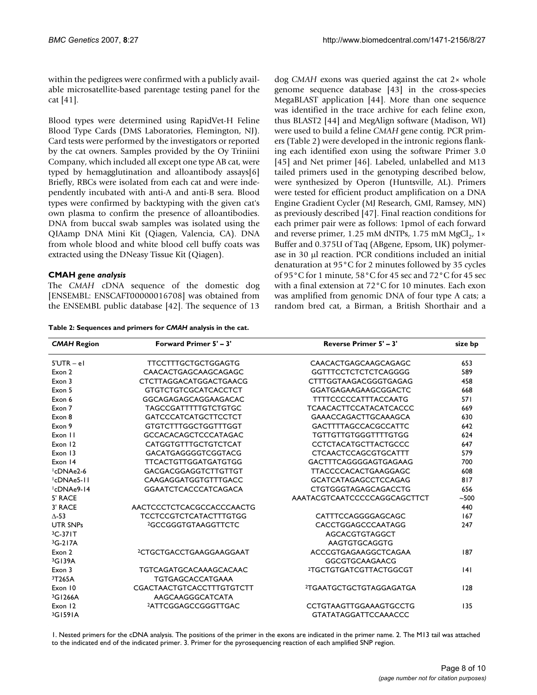within the pedigrees were confirmed with a publicly available microsatellite-based parentage testing panel for the cat [41].

Blood types were determined using RapidVet-H Feline Blood Type Cards (DMS Laboratories, Flemington, NJ). Card tests were performed by the investigators or reported by the cat owners. Samples provided by the Oy Triniini Company, which included all except one type AB cat, were typed by hemagglutination and alloantibody assays[6] Briefly, RBCs were isolated from each cat and were independently incubated with anti-A and anti-B sera. Blood types were confirmed by backtyping with the given cat's own plasma to confirm the presence of alloantibodies. DNA from buccal swab samples was isolated using the QIAamp DNA Mini Kit (Qiagen, Valencia, CA). DNA from whole blood and white blood cell buffy coats was extracted using the DNeasy Tissue Kit (Qiagen).

# **CMAH** *gene analysis*

The *CMAH* cDNA sequence of the domestic dog [ENSEMBL: ENSCAFT00000016708] was obtained from the ENSEMBL public database [42]. The sequence of 13

**Table 2: Sequences and primers for** *CMAH* **analysis in the cat.**

dog *CMAH* exons was queried against the cat 2× whole genome sequence database [43] in the cross-species MegaBLAST application [44]. More than one sequence was identified in the trace archive for each feline exon, thus BLAST2 [44] and MegAlign software (Madison, WI) were used to build a feline *CMAH* gene contig. PCR primers (Table 2) were developed in the intronic regions flanking each identified exon using the software Primer 3.0 [45] and Net primer [46]. Labeled, unlabelled and M13 tailed primers used in the genotyping described below, were synthesized by Operon (Huntsville, AL). Primers were tested for efficient product amplification on a DNA Engine Gradient Cycler (MJ Research, GMI, Ramsey, MN) as previously described [47]. Final reaction conditions for each primer pair were as follows: 1pmol of each forward and reverse primer, 1.25 mM dNTPs, 1.75 mM MgCl<sub>2</sub>, 1× Buffer and 0.375U of Taq (ABgene, Epsom, UK) polymerase in 30 µl reaction. PCR conditions included an initial denaturation at 95°C for 2 minutes followed by 35 cycles of 95°C for 1 minute, 58°C for 45 sec and 72°C for 45 sec with a final extension at 72°C for 10 minutes. Each exon was amplified from genomic DNA of four type A cats; a random bred cat, a Birman, a British Shorthair and a

| <b>CMAH Region</b>     | Forward Primer 5' - 3'              | <b>Reverse Primer 5' - 3'</b>       | size bp |
|------------------------|-------------------------------------|-------------------------------------|---------|
| $5'UTR - eI$           | <b>TTCCTTTGCTGCTGGAGTG</b>          | CAACACTGAGCAAGCAGAGC                | 653     |
| Exon 2                 | CAACACTGAGCAAGCAGAGC                | <b>GGTTTCCTCTCTCTCAGGGG</b>         | 589     |
| Exon 3                 | <b>CTCTTAGGACATGGACTGAACG</b>       | <b>CTTTGGTAAGACGGGTGAGAG</b>        | 458     |
| Exon 5                 | <b>GTGTCTGTCGCATCACCTCT</b>         | GGATGAGAAGAAGCGGACTC                | 668     |
| Exon 6                 | GGCAGAGAGCAGGAAGACAC                | <b>TTTTCCCCCATTTACCAATG</b>         | 571     |
| Exon 7                 | <b>TAGCCGATTTTTGTCTGTGC</b>         | <b>TCAACACTTCCATACATCACCC</b>       | 669     |
| Exon 8                 | <b>GATCCCATCATGCTTCCTCT</b>         | <b>GAAACCAGACTTGCAAAGCA</b>         | 630     |
| Exon 9                 | <b>GTGTCTTTGGCTGGTTTGGT</b>         | <b>GACTTTTAGCCACGCCATTC</b>         | 642     |
| Exon 11                | <b>GCCACACAGCTCCCATAGAC</b>         | <b>TGTTGTTGTGGGTTTTGTGG</b>         | 624     |
| Exon 12                | <b>CATGGTGTTTGCTGTCTCAT</b>         | <b>CCTCTACATGCTTACTGCCC</b>         | 647     |
| Exon 13                | GACATGAGGGGTCGGTACG                 | <b>CTCAACTCCAGCGTGCATTT</b>         | 579     |
| Exon 14                | <b>TTCACTGTTGGATGATGTGG</b>         | GACTTTCAGGGGAGTGAGAAG               | 700     |
| <sup>1</sup> cDNAe2-6  | <b>GACGACGGAGGTCTTGTTGT</b>         | <b>TTACCCCACACTGAAGGAGC</b>         | 608     |
| <sup>1</sup> cDNAe5-11 | CAAGAGGATGGTGTTTGACC                | <b>GCATCATAGAGCCTCCAGAG</b>         | 817     |
| <sup>1</sup> cDNAe9-14 | <b>GGAATCTCACCCATCAGACA</b>         | <b>CTGTGGGTAGAGCAGACCTG</b>         | 656     |
| 5' RACE                |                                     | AAATACGTCAATCCCCCCAGGCAGCTTCT       | $-500$  |
| 3' RACE                | AACTCCCTCTCACGCCACCCAACTG           |                                     | 440     |
| $\Lambda$ -53          | <b>TCCTCCGTCTCATACTTTGTGG</b>       | CATTTCCAGGGGAGCAGC                  | 167     |
| <b>UTR SNPs</b>        | <sup>2</sup> GCCGGGTGTAAGGTTCTC     | CACCTGGAGCCCAATAGG                  | 247     |
| $3C-371T$              |                                     | AGCACGTGTAGGCT                      |         |
| 3G-217A                |                                     | AAGTGTGCAGGTG                       |         |
| Exon 2                 | <sup>2</sup> CTGCTGACCTGAAGGAAGGAAT | ACCCGTGAGAAGGCTCAGAA                | 187     |
| 3G139A                 |                                     | <b>GGCGTGCAAGAACG</b>               |         |
| Exon 3                 | <b>TGTCAGATGCACAAAGCACAAC</b>       | <sup>2</sup> TGCTGTGATCGTTACTGGCGT  | 4       |
| 3T265A                 | <b>TGTGAGCACCATGAAA</b>             |                                     |         |
| Exon 10                | <b>CGACTAACTGTCACCTTTGTGTCTT</b>    | <sup>2</sup> TGAATGCTGCTGTAGGAGATGA | 128     |
| 3G1266A                | AAGCAAGGGCATCATA                    |                                     |         |
| Exon 12                | <sup>2</sup> ATTCGGAGCCGGGTTGAC     | <b>CCTGTAAGTTGGAAAGTGCCTG</b>       | 135     |
| $3G$ 1591A             |                                     | <b>GTATATAGGATTCCAAACCC</b>         |         |

1. Nested primers for the cDNA analysis. The positions of the primer in the exons are indicated in the primer name. 2. The M13 tail was attached to the indicated end of the indicated primer. 3. Primer for the pyrosequencing reaction of each amplified SNP region.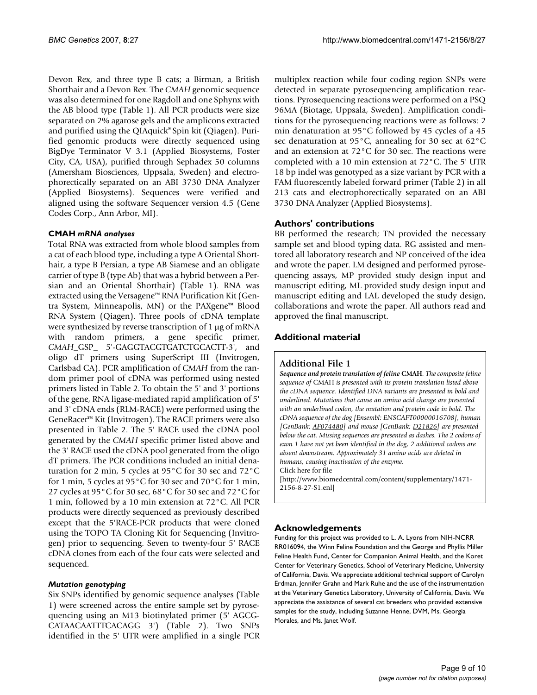Devon Rex, and three type B cats; a Birman, a British Shorthair and a Devon Rex. The *CMAH* genomic sequence was also determined for one Ragdoll and one Sphynx with the AB blood type (Table 1). All PCR products were size separated on 2% agarose gels and the amplicons extracted and purified using the QIAquick® Spin kit (Qiagen). Purified genomic products were directly sequenced using BigDye Terminator V 3.1 (Applied Biosystems, Foster City, CA, USA), purified through Sephadex 50 columns (Amersham Biosciences, Uppsala, Sweden) and electrophorectically separated on an ABI 3730 DNA Analyzer (Applied Biosystems). Sequences were verified and aligned using the software Sequencer version 4.5 (Gene Codes Corp., Ann Arbor, MI).

## **CMAH** *mRNA analyses*

Total RNA was extracted from whole blood samples from a cat of each blood type, including a type A Oriental Shorthair, a type B Persian, a type AB Siamese and an obligate carrier of type B (type Ab) that was a hybrid between a Persian and an Oriental Shorthair) (Table 1). RNA was extracted using the Versagene™ RNA Purification Kit (Gentra System, Minneapolis, MN) or the PAXgene™ Blood RNA System (Qiagen). Three pools of cDNA template were synthesized by reverse transcription of 1 µg of mRNA with random primers, a gene specific primer, *CMAH*\_GSP\_ 5'-GAGGTACGTGATCTGCACTT-3', and oligo dT primers using SuperScript III (Invitrogen, Carlsbad CA). PCR amplification of *CMAH* from the random primer pool of cDNA was performed using nested primers listed in Table 2. To obtain the 5' and 3' portions of the gene, RNA ligase-mediated rapid amplification of 5' and 3' cDNA ends (RLM-RACE) were performed using the GeneRacer™ Kit (Invitrogen). The RACE primers were also presented in Table 2. The 5' RACE used the cDNA pool generated by the *CMAH* specific primer listed above and the 3' RACE used the cDNA pool generated from the oligo dT primers. The PCR conditions included an initial denaturation for 2 min, 5 cycles at 95°C for 30 sec and 72°C for 1 min, 5 cycles at 95°C for 30 sec and 70°C for 1 min, 27 cycles at 95°C for 30 sec, 68°C for 30 sec and 72°C for 1 min, followed by a 10 min extension at 72°C. All PCR products were directly sequenced as previously described except that the 5'RACE-PCR products that were cloned using the TOPO TA Cloning Kit for Sequencing (Invitrogen) prior to sequencing. Seven to twenty-four 5' RACE cDNA clones from each of the four cats were selected and sequenced.

## *Mutation genotyping*

Six SNPs identified by genomic sequence analyses (Table 1) were screened across the entire sample set by pyrosequencing using an M13 biotinylated primer (5' AGCG-CATAACAATTTCACAGG 3') (Table 2). Two SNPs identified in the 5' UTR were amplified in a single PCR multiplex reaction while four coding region SNPs were detected in separate pyrosequencing amplification reactions. Pyrosequencing reactions were performed on a PSQ 96MA (Biotage, Uppsala, Sweden). Amplification conditions for the pyrosequencing reactions were as follows: 2 min denaturation at 95°C followed by 45 cycles of a 45 sec denaturation at 95°C, annealing for 30 sec at 62°C and an extension at 72°C for 30 sec. The reactions were completed with a 10 min extension at 72°C. The 5' UTR 18 bp indel was genotyped as a size variant by PCR with a FAM fluorescently labeled forward primer (Table 2) in all 213 cats and electrophorectically separated on an ABI 3730 DNA Analyzer (Applied Biosystems).

# **Authors' contributions**

BB performed the research; TN provided the necessary sample set and blood typing data. RG assisted and mentored all laboratory research and NP conceived of the idea and wrote the paper. LM designed and performed pyrosequencing assays, MP provided study design input and manuscript editing, ML provided study design input and manuscript editing and LAL developed the study design, collaborations and wrote the paper. All authors read and approved the final manuscript.

# **Additional material**

#### **Additional File 1**

*Sequence and protein translation of feline* **CMAH***. The composite feline sequence of* CMAH *is presented with its protein translation listed above the cDNA sequence. Identified DNA variants are presented in bold and underlined. Mutations that cause an amino acid change are presented with an underlined codon, the mutation and protein code in bold. The cDNA sequence of the dog [Ensembl: ENSCAFT00000016708], human [GenBank: [AF074480\]](http://www.ncbi.nih.gov/entrez/query.fcgi?db=Nucleotide&cmd=search&term=AF074480) and mouse [GenBank: [D21826](http://www.ncbi.nih.gov/entrez/query.fcgi?db=Nucleotide&cmd=search&term=D21826)] are presented below the cat. Missing sequences are presented as dashes. The 2 codons of exon 1 have not yet been identified in the dog, 2 additional codons are absent downstream. Approximately 31 amino acids are deleted in humans, causing inactivation of the enzyme.* Click here for file

[\[http://www.biomedcentral.com/content/supplementary/1471-](http://www.biomedcentral.com/content/supplementary/1471-2156-8-27-S1.enl) 2156-8-27-S1.enl]

## **Acknowledgements**

Funding for this project was provided to L. A. Lyons from NIH-NCRR RR016094, the Winn Feline Foundation and the George and Phyllis Miller Feline Health Fund, Center for Companion Animal Health, and the Koret Center for Veterinary Genetics, School of Veterinary Medicine, University of California, Davis. We appreciate additional technical support of Carolyn Erdman, Jennifer Grahn and Mark Ruhe and the use of the instrumentation at the Veterinary Genetics Laboratory, University of California, Davis. We appreciate the assistance of several cat breeders who provided extensive samples for the study, including Suzanne Henne, DVM, Ms. Georgia Morales, and Ms. Janet Wolf.